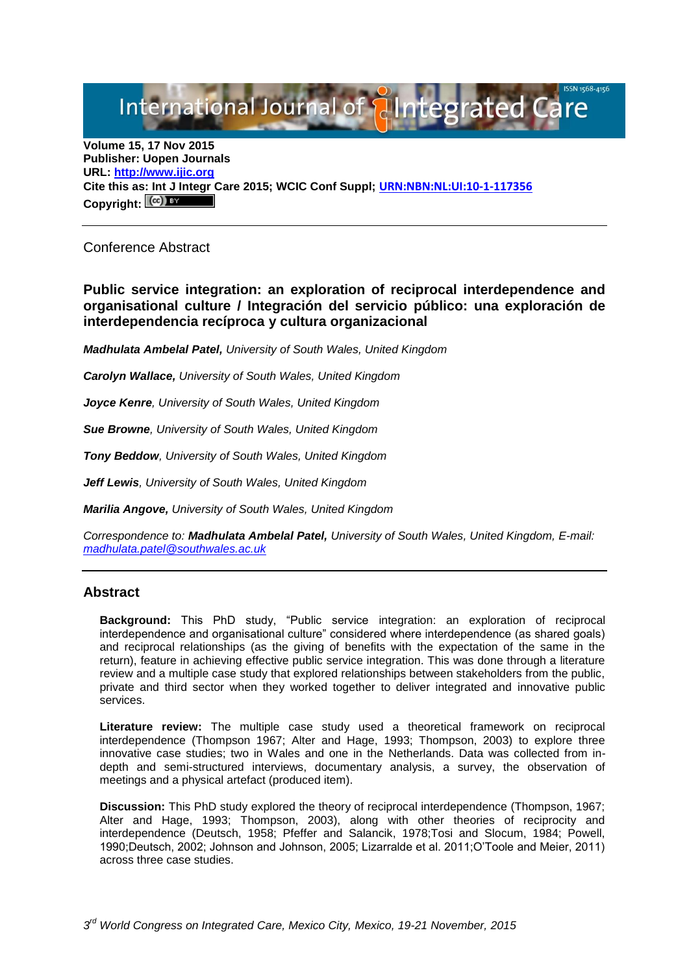# International Journal of **Plntegrated Ca**

**Volume 15, 17 Nov 2015 Publisher: Uopen Journals URL: [http://www.ijic.org](http://www.ijic.org/) Cite this as: Int J Integr Care 2015; WCIC Conf Suppl; [URN:NBN:NL:UI:10-1-117356](http://persistent-identifier.nl/?identifier=URN:NBN:NL:UI:10-1-117356) Copyright:**

Conference Abstract

**Public service integration: an exploration of reciprocal interdependence and organisational culture / Integración del servicio público: una exploración de interdependencia recíproca y cultura organizacional**

*Madhulata Ambelal Patel, University of South Wales, United Kingdom*

*Carolyn Wallace, University of South Wales, United Kingdom*

*Joyce Kenre, University of South Wales, United Kingdom* 

*Sue Browne, University of South Wales, United Kingdom*

*Tony Beddow, University of South Wales, United Kingdom*

*Jeff Lewis, University of South Wales, United Kingdom*

*Marilia Angove, University of South Wales, United Kingdom*

*Correspondence to: Madhulata Ambelal Patel, University of South Wales, United Kingdom, E-mail: [madhulata.patel@southwales.ac.uk](mailto:madhulata.patel@southwales.ac.uk)*

### **Abstract**

**Background:** This PhD study, "Public service integration: an exploration of reciprocal interdependence and organisational culture" considered where interdependence (as shared goals) and reciprocal relationships (as the giving of benefits with the expectation of the same in the return), feature in achieving effective public service integration. This was done through a literature review and a multiple case study that explored relationships between stakeholders from the public, private and third sector when they worked together to deliver integrated and innovative public services.

**Literature review:** The multiple case study used a theoretical framework on reciprocal interdependence (Thompson 1967; Alter and Hage, 1993; Thompson, 2003) to explore three innovative case studies; two in Wales and one in the Netherlands. Data was collected from indepth and semi-structured interviews, documentary analysis, a survey, the observation of meetings and a physical artefact (produced item).

**Discussion:** This PhD study explored the theory of reciprocal interdependence (Thompson, 1967; Alter and Hage, 1993; Thompson, 2003), along with other theories of reciprocity and interdependence (Deutsch, 1958; Pfeffer and Salancik, 1978;Tosi and Slocum, 1984; Powell, 1990;Deutsch, 2002; Johnson and Johnson, 2005; Lizarralde et al. 2011;O'Toole and Meier, 2011) across three case studies.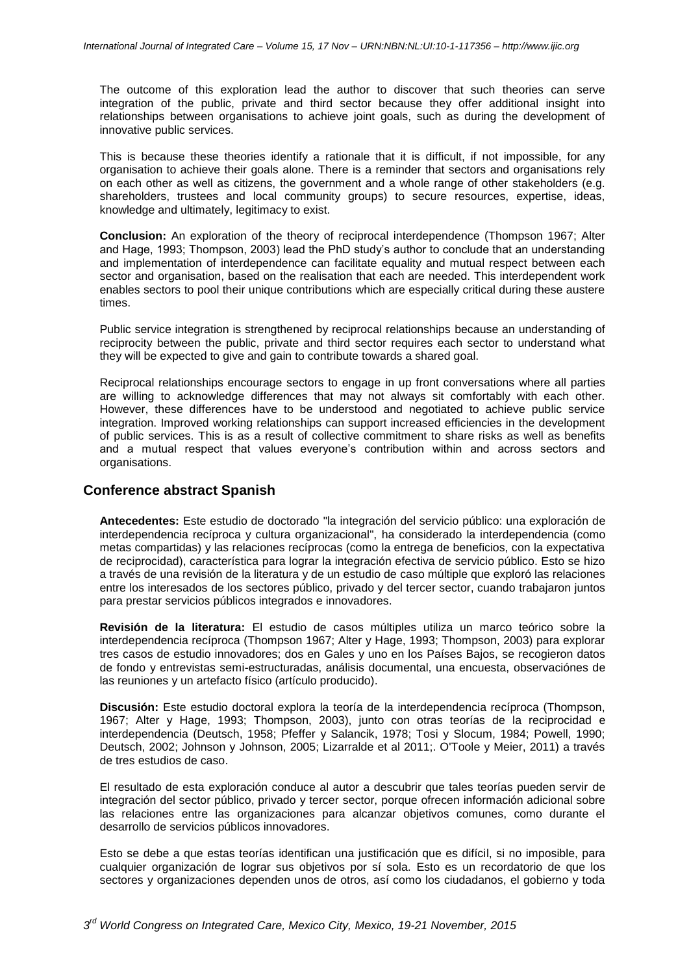The outcome of this exploration lead the author to discover that such theories can serve integration of the public, private and third sector because they offer additional insight into relationships between organisations to achieve joint goals, such as during the development of innovative public services.

This is because these theories identify a rationale that it is difficult, if not impossible, for any organisation to achieve their goals alone. There is a reminder that sectors and organisations rely on each other as well as citizens, the government and a whole range of other stakeholders (e.g. shareholders, trustees and local community groups) to secure resources, expertise, ideas, knowledge and ultimately, legitimacy to exist.

**Conclusion:** An exploration of the theory of reciprocal interdependence (Thompson 1967; Alter and Hage, 1993; Thompson, 2003) lead the PhD study's author to conclude that an understanding and implementation of interdependence can facilitate equality and mutual respect between each sector and organisation, based on the realisation that each are needed. This interdependent work enables sectors to pool their unique contributions which are especially critical during these austere times.

Public service integration is strengthened by reciprocal relationships because an understanding of reciprocity between the public, private and third sector requires each sector to understand what they will be expected to give and gain to contribute towards a shared goal.

Reciprocal relationships encourage sectors to engage in up front conversations where all parties are willing to acknowledge differences that may not always sit comfortably with each other. However, these differences have to be understood and negotiated to achieve public service integration. Improved working relationships can support increased efficiencies in the development of public services. This is as a result of collective commitment to share risks as well as benefits and a mutual respect that values everyone's contribution within and across sectors and organisations.

## **Conference abstract Spanish**

**Antecedentes:** Este estudio de doctorado "la integración del servicio público: una exploración de interdependencia recíproca y cultura organizacional", ha considerado la interdependencia (como metas compartidas) y las relaciones recíprocas (como la entrega de beneficios, con la expectativa de reciprocidad), característica para lograr la integración efectiva de servicio público. Esto se hizo a través de una revisión de la literatura y de un estudio de caso múltiple que exploró las relaciones entre los interesados de los sectores público, privado y del tercer sector, cuando trabajaron juntos para prestar servicios públicos integrados e innovadores.

**Revisión de la literatura:** El estudio de casos múltiples utiliza un marco teórico sobre la interdependencia recíproca (Thompson 1967; Alter y Hage, 1993; Thompson, 2003) para explorar tres casos de estudio innovadores; dos en Gales y uno en los Países Bajos, se recogieron datos de fondo y entrevistas semi-estructuradas, análisis documental, una encuesta, observaciónes de las reuniones y un artefacto físico (artículo producido).

**Discusión:** Este estudio doctoral explora la teoría de la interdependencia recíproca (Thompson, 1967; Alter y Hage, 1993; Thompson, 2003), junto con otras teorías de la reciprocidad e interdependencia (Deutsch, 1958; Pfeffer y Salancik, 1978; Tosi y Slocum, 1984; Powell, 1990; Deutsch, 2002; Johnson y Johnson, 2005; Lizarralde et al 2011;. O'Toole y Meier, 2011) a través de tres estudios de caso.

El resultado de esta exploración conduce al autor a descubrir que tales teorías pueden servir de integración del sector público, privado y tercer sector, porque ofrecen información adicional sobre las relaciones entre las organizaciones para alcanzar objetivos comunes, como durante el desarrollo de servicios públicos innovadores.

Esto se debe a que estas teorías identifican una justificación que es difícil, si no imposible, para cualquier organización de lograr sus objetivos por sí sola. Esto es un recordatorio de que los sectores y organizaciones dependen unos de otros, así como los ciudadanos, el gobierno y toda